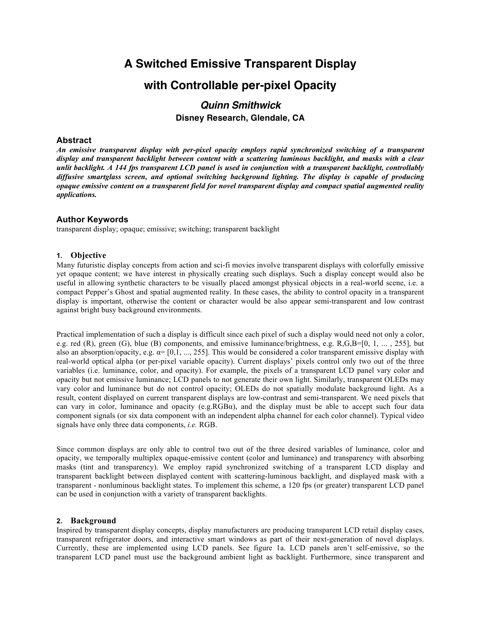# **A Switched Emissive Transparent Display with Controllable per-pixel Opacity**

# *Quinn Smithwick* **Disney Research, Glendale, CA**

#### **Abstract**

*An emissive transparent display with per-pixel opacity employs rapid synchronized switching of a transparent display and transparent backlight between content with a scattering luminous backlight, and masks with a clear unlit backlight. A 144 fps transparent LCD panel is used in conjunction with a transparent backlight, controllably diffusive smartglass screen, and optional switching background lighting. The display is capable of producing opaque emissive content on a transparent field for novel transparent display and compact spatial augmented reality applications.*

#### **Author Keywords**

transparent display; opaque; emissive; switching; transparent backlight

#### **1. Objective**

Many futuristic display concepts from action and sci-fi movies involve transparent displays with colorfully emissive yet opaque content; we have interest in physically creating such displays. Such a display concept would also be useful in allowing synthetic characters to be visually placed amongst physical objects in a real-world scene, i.e. a compact Pepper's Ghost and spatial augmented reality. In these cases, the ability to control opacity in a transparent display is important, otherwise the content or character would be also appear semi-transparent and low contrast against bright busy background environments.

Practical implementation of such a display is difficult since each pixel of such a display would need not only a color, e.g. red  $(R)$ , green  $(G)$ , blue  $(B)$  components, and emissive luminance/brightness, e.g.  $R$ ,  $G$ ,  $B=[0, 1, \ldots, 255]$ , but also an absorption/opacity, e.g.  $\alpha$ = [0,1, ..., 255]. This would be considered a color transparent emissive display with real-world optical alpha (or per-pixel variable opacity). Current displays' pixels control only two out of the three variables (i.e. luminance, color, and opacity). For example, the pixels of a transparent LCD panel vary color and opacity but not emissive luminance; LCD panels to not generate their own light. Similarly, transparent OLEDs may vary color and luminance but do not control opacity; OLEDs do not spatially modulate background light. As a result, content displayed on current transparent displays are low-contrast and semi-transparent. We need pixels that can vary in color, luminance and opacity (e.g.RGB $\alpha$ ), and the display must be able to accept such four data component signals (or six data component with an independent alpha channel for each color channel). Typical video signals have only three data components, *i.e.* RGB.

Since common displays are only able to control two out of the three desired variables of luminance, color and opacity, we temporally multiplex opaque-emissive content (color and luminance) and transparency with absorbing masks (tint and transparency). We employ rapid synchronized switching of a transparent LCD display and transparent backlight between displayed content with scattering-luminous backlight, and displayed mask with a transparent - nonluminous backlight states. To implement this scheme, a 120 fps (or greater) transparent LCD panel can be used in conjunction with a variety of transparent backlights.

#### **2. Background**

Inspired by transparent display concepts, display manufacturers are producing transparent LCD retail display cases, transparent refrigerator doors, and interactive smart windows as part of their next-generation of novel displays. Currently, these are implemented using LCD panels. See figure 1a. LCD panels aren't self-emissive, so the transparent LCD panel must use the background ambient light as backlight. Furthermore, since transparent and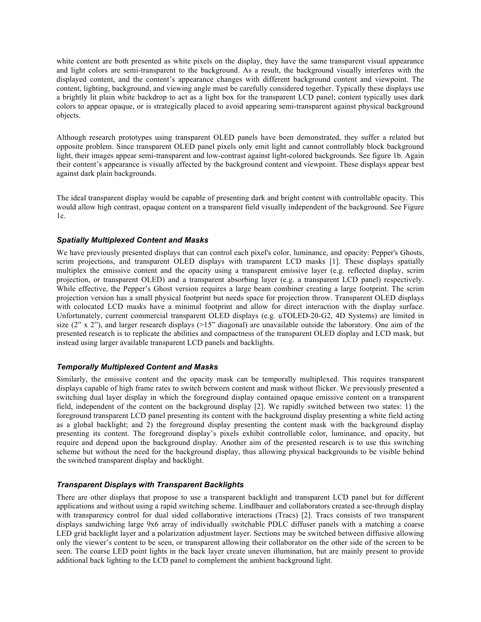white content are both presented as white pixels on the display, they have the same transparent visual appearance and light colors are semi-transparent to the background. As a result, the background visually interferes with the displayed content, and the content's appearance changes with different background content and viewpoint. The content, lighting, background, and viewing angle must be carefully considered together. Typically these displays use a brightly lit plain white backdrop to act as a light box for the transparent LCD panel; content typically uses dark colors to appear opaque, or is strategically placed to avoid appearing semi-transparent against physical background objects.

Although research prototypes using transparent OLED panels have been demonstrated, they suffer a related but opposite problem. Since transparent OLED panel pixels only emit light and cannot controllably block background light, their images appear semi-transparent and low-contrast against light-colored backgrounds. See figure 1b. Again their content's appearance is visually affected by the background content and viewpoint. These displays appear best against dark plain backgrounds.

The ideal transparent display would be capable of presenting dark and bright content with controllable opacity. This would allow high contrast, opaque content on a transparent field visually independent of the background. See Figure 1c.

### *Spatially Multiplexed Content and Masks*

We have previously presented displays that can control each pixel's color, luminance, and opacity: Pepper's Ghosts, scrim projections, and transparent OLED displays with transparent LCD masks [1]. These displays spatially multiplex the emissive content and the opacity using a transparent emissive layer (e.g. reflected display, scrim projection, or transparent OLED) and a transparent absorbing layer (e.g. a transparent LCD panel) respectively. While effective, the Pepper's Ghost version requires a large beam combiner creating a large footprint. The scrim projection version has a small physical footprint but needs space for projection throw. Transparent OLED displays with colocated LCD masks have a minimal footprint and allow for direct interaction with the display surface. Unfortunately, current commercial transparent OLED displays (e.g. uTOLED-20-G2, 4D Systems) are limited in size  $(2^{\prime\prime} \times 2^{\prime\prime})$ , and larger research displays (>15" diagonal) are unavailable outside the laboratory. One aim of the presented research is to replicate the abilities and compactness of the transparent OLED display and LCD mask, but instead using larger available transparent LCD panels and backlights.

### *Temporally Multiplexed Content and Masks*

Similarly, the emissive content and the opacity mask can be temporally multiplexed. This requires transparent displays capable of high frame rates to switch between content and mask without flicker. We previously presented a switching dual layer display in which the foreground display contained opaque emissive content on a transparent field, independent of the content on the background display [2]. We rapidly switched between two states: 1) the foreground transparent LCD panel presenting its content with the background display presenting a white field acting as a global backlight; and 2) the foreground display presenting the content mask with the background display presenting its content. The foreground display's pixels exhibit controllable color, luminance, and opacity, but require and depend upon the background display. Another aim of the presented research is to use this switching scheme but without the need for the background display, thus allowing physical backgrounds to be visible behind the switched transparent display and backlight.

### *Transparent Displays with Transparent Backlights*

There are other displays that propose to use a transparent backlight and transparent LCD panel but for different applications and without using a rapid switching scheme. Lindlbauer and collaborators created a see-through display with transparency control for dual sided collaborative interactions (Tracs) [2]. Tracs consists of two transparent displays sandwiching large 9x6 array of individually switchable PDLC diffuser panels with a matching a coarse LED grid backlight layer and a polarization adjustment layer. Sections may be switched between diffusive allowing only the viewer's content to be seen, or transparent allowing their collaborator on the other side of the screen to be seen. The coarse LED point lights in the back layer create uneven illumination, but are mainly present to provide additional back lighting to the LCD panel to complement the ambient background light.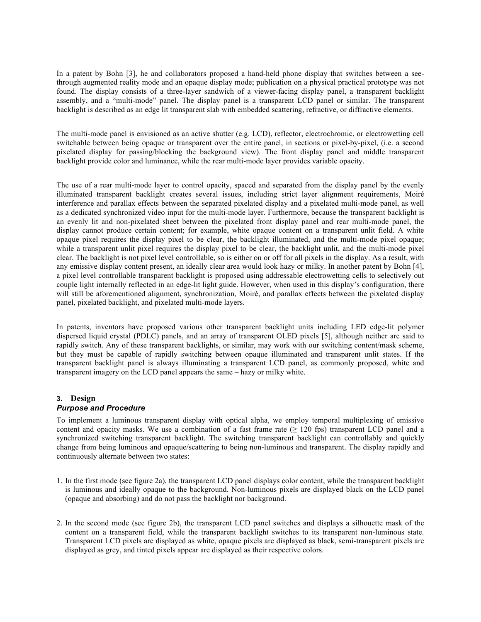In a patent by Bohn [3], he and collaborators proposed a hand-held phone display that switches between a seethrough augmented reality mode and an opaque display mode; publication on a physical practical prototype was not found. The display consists of a three-layer sandwich of a viewer-facing display panel, a transparent backlight assembly, and a "multi-mode" panel. The display panel is a transparent LCD panel or similar. The transparent backlight is described as an edge lit transparent slab with embedded scattering, refractive, or diffractive elements.

The multi-mode panel is envisioned as an active shutter (e.g. LCD), reflector, electrochromic, or electrowetting cell switchable between being opaque or transparent over the entire panel, in sections or pixel-by-pixel, (i.e. a second pixelated display for passing/blocking the background view). The front display panel and middle transparent backlight provide color and luminance, while the rear multi-mode layer provides variable opacity.

The use of a rear multi-mode layer to control opacity, spaced and separated from the display panel by the evenly illuminated transparent backlight creates several issues, including strict layer alignment requirements, Moiré interference and parallax effects between the separated pixelated display and a pixelated multi-mode panel, as well as a dedicated synchronized video input for the multi-mode layer. Furthermore, because the transparent backlight is an evenly lit and non-pixelated sheet between the pixelated front display panel and rear multi-mode panel, the display cannot produce certain content; for example, white opaque content on a transparent unlit field. A white opaque pixel requires the display pixel to be clear, the backlight illuminated, and the multi-mode pixel opaque; while a transparent unlit pixel requires the display pixel to be clear, the backlight unlit, and the multi-mode pixel clear. The backlight is not pixel level controllable, so is either on or off for all pixels in the display. As a result, with any emissive display content present, an ideally clear area would look hazy or milky. In another patent by Bohn [4], a pixel level controllable transparent backlight is proposed using addressable electrowetting cells to selectively out couple light internally reflected in an edge-lit light guide. However, when used in this display's configuration, there will still be aforementioned alignment, synchronization, Moiré, and parallax effects between the pixelated display panel, pixelated backlight, and pixelated multi-mode layers.

In patents, inventors have proposed various other transparent backlight units including LED edge-lit polymer dispersed liquid crystal (PDLC) panels, and an array of transparent OLED pixels [5], although neither are said to rapidly switch. Any of these transparent backlights, or similar, may work with our switching content/mask scheme, but they must be capable of rapidly switching between opaque illuminated and transparent unlit states. If the transparent backlight panel is always illuminating a transparent LCD panel, as commonly proposed, white and transparent imagery on the LCD panel appears the same – hazy or milky white.

## **3. Design**

### *Purpose and Procedure*

To implement a luminous transparent display with optical alpha, we employ temporal multiplexing of emissive content and opacity masks. We use a combination of a fast frame rate  $(≥ 120$  fps) transparent LCD panel and a synchronized switching transparent backlight. The switching transparent backlight can controllably and quickly change from being luminous and opaque/scattering to being non-luminous and transparent. The display rapidly and continuously alternate between two states:

- 1. In the first mode (see figure 2a), the transparent LCD panel displays color content, while the transparent backlight is luminous and ideally opaque to the background. Non-luminous pixels are displayed black on the LCD panel (opaque and absorbing) and do not pass the backlight nor background.
- 2. In the second mode (see figure 2b), the transparent LCD panel switches and displays a silhouette mask of the content on a transparent field, while the transparent backlight switches to its transparent non-luminous state. Transparent LCD pixels are displayed as white, opaque pixels are displayed as black, semi-transparent pixels are displayed as grey, and tinted pixels appear are displayed as their respective colors.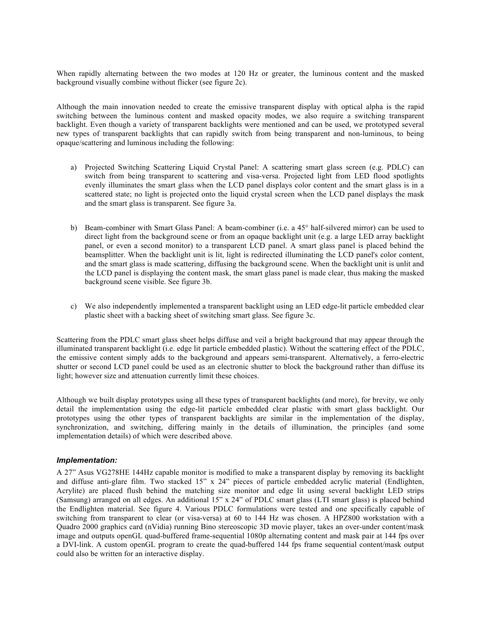When rapidly alternating between the two modes at 120 Hz or greater, the luminous content and the masked background visually combine without flicker (see figure 2c).

Although the main innovation needed to create the emissive transparent display with optical alpha is the rapid switching between the luminous content and masked opacity modes, we also require a switching transparent backlight. Even though a variety of transparent backlights were mentioned and can be used, we prototyped several new types of transparent backlights that can rapidly switch from being transparent and non-luminous, to being opaque/scattering and luminous including the following:

- a) Projected Switching Scattering Liquid Crystal Panel: A scattering smart glass screen (e.g. PDLC) can switch from being transparent to scattering and visa-versa. Projected light from LED flood spotlights evenly illuminates the smart glass when the LCD panel displays color content and the smart glass is in a scattered state; no light is projected onto the liquid crystal screen when the LCD panel displays the mask and the smart glass is transparent. See figure 3a.
- b) Beam-combiner with Smart Glass Panel: A beam-combiner (i.e. a 45° half-silvered mirror) can be used to direct light from the background scene or from an opaque backlight unit (e.g. a large LED array backlight panel, or even a second monitor) to a transparent LCD panel. A smart glass panel is placed behind the beamsplitter. When the backlight unit is lit, light is redirected illuminating the LCD panel's color content, and the smart glass is made scattering, diffusing the background scene. When the backlight unit is unlit and the LCD panel is displaying the content mask, the smart glass panel is made clear, thus making the masked background scene visible. See figure 3b.
- c) We also independently implemented a transparent backlight using an LED edge-lit particle embedded clear plastic sheet with a backing sheet of switching smart glass. See figure 3c.

Scattering from the PDLC smart glass sheet helps diffuse and veil a bright background that may appear through the illuminated transparent backlight (i.e. edge lit particle embedded plastic). Without the scattering effect of the PDLC, the emissive content simply adds to the background and appears semi-transparent. Alternatively, a ferro-electric shutter or second LCD panel could be used as an electronic shutter to block the background rather than diffuse its light; however size and attenuation currently limit these choices.

Although we built display prototypes using all these types of transparent backlights (and more), for brevity, we only detail the implementation using the edge-lit particle embedded clear plastic with smart glass backlight. Our prototypes using the other types of transparent backlights are similar in the implementation of the display, synchronization, and switching, differing mainly in the details of illumination, the principles (and some implementation details) of which were described above.

### *Implementation:*

A 27" Asus VG278HE 144Hz capable monitor is modified to make a transparent display by removing its backlight and diffuse anti-glare film. Two stacked 15" x 24" pieces of particle embedded acrylic material (Endlighten, Acrylite) are placed flush behind the matching size monitor and edge lit using several backlight LED strips (Samsung) arranged on all edges. An additional 15" x 24" of PDLC smart glass (LTI smart glass) is placed behind the Endlighten material. See figure 4. Various PDLC formulations were tested and one specifically capable of switching from transparent to clear (or visa-versa) at 60 to 144 Hz was chosen. A HPZ800 workstation with a Quadro 2000 graphics card (nVidia) running Bino stereoscopic 3D movie player, takes an over-under content/mask image and outputs openGL quad-buffered frame-sequential 1080p alternating content and mask pair at 144 fps over a DVI-link. A custom openGL program to create the quad-buffered 144 fps frame sequential content/mask output could also be written for an interactive display.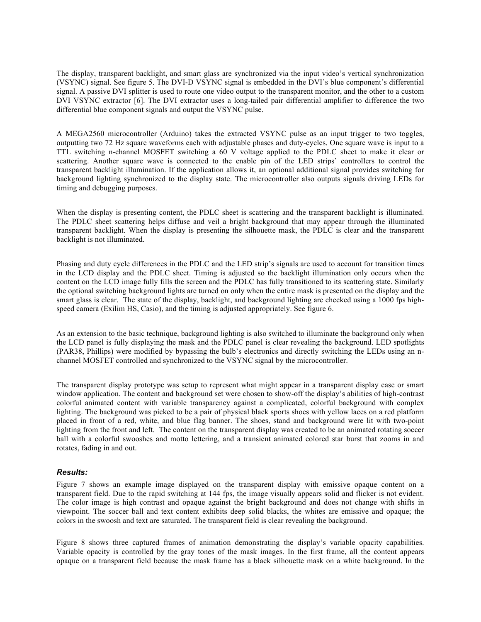The display, transparent backlight, and smart glass are synchronized via the input video's vertical synchronization (VSYNC) signal. See figure 5. The DVI-D VSYNC signal is embedded in the DVI's blue component's differential signal. A passive DVI splitter is used to route one video output to the transparent monitor, and the other to a custom DVI VSYNC extractor [6]. The DVI extractor uses a long-tailed pair differential amplifier to difference the two differential blue component signals and output the VSYNC pulse.

A MEGA2560 microcontroller (Arduino) takes the extracted VSYNC pulse as an input trigger to two toggles, outputting two 72 Hz square waveforms each with adjustable phases and duty-cycles. One square wave is input to a TTL switching n-channel MOSFET switching a 60 V voltage applied to the PDLC sheet to make it clear or scattering. Another square wave is connected to the enable pin of the LED strips' controllers to control the transparent backlight illumination. If the application allows it, an optional additional signal provides switching for background lighting synchronized to the display state. The microcontroller also outputs signals driving LEDs for timing and debugging purposes.

When the display is presenting content, the PDLC sheet is scattering and the transparent backlight is illuminated. The PDLC sheet scattering helps diffuse and veil a bright background that may appear through the illuminated transparent backlight. When the display is presenting the silhouette mask, the PDLC is clear and the transparent backlight is not illuminated.

Phasing and duty cycle differences in the PDLC and the LED strip's signals are used to account for transition times in the LCD display and the PDLC sheet. Timing is adjusted so the backlight illumination only occurs when the content on the LCD image fully fills the screen and the PDLC has fully transitioned to its scattering state. Similarly the optional switching background lights are turned on only when the entire mask is presented on the display and the smart glass is clear. The state of the display, backlight, and background lighting are checked using a 1000 fps highspeed camera (Exilim HS, Casio), and the timing is adjusted appropriately. See figure 6.

As an extension to the basic technique, background lighting is also switched to illuminate the background only when the LCD panel is fully displaying the mask and the PDLC panel is clear revealing the background. LED spotlights (PAR38, Phillips) were modified by bypassing the bulb's electronics and directly switching the LEDs using an nchannel MOSFET controlled and synchronized to the VSYNC signal by the microcontroller.

The transparent display prototype was setup to represent what might appear in a transparent display case or smart window application. The content and background set were chosen to show-off the display's abilities of high-contrast colorful animated content with variable transparency against a complicated, colorful background with complex lighting. The background was picked to be a pair of physical black sports shoes with yellow laces on a red platform placed in front of a red, white, and blue flag banner. The shoes, stand and background were lit with two-point lighting from the front and left. The content on the transparent display was created to be an animated rotating soccer ball with a colorful swooshes and motto lettering, and a transient animated colored star burst that zooms in and rotates, fading in and out.

### *Results:*

Figure 7 shows an example image displayed on the transparent display with emissive opaque content on a transparent field. Due to the rapid switching at 144 fps, the image visually appears solid and flicker is not evident. The color image is high contrast and opaque against the bright background and does not change with shifts in viewpoint. The soccer ball and text content exhibits deep solid blacks, the whites are emissive and opaque; the colors in the swoosh and text are saturated. The transparent field is clear revealing the background.

Figure 8 shows three captured frames of animation demonstrating the display's variable opacity capabilities. Variable opacity is controlled by the gray tones of the mask images. In the first frame, all the content appears opaque on a transparent field because the mask frame has a black silhouette mask on a white background. In the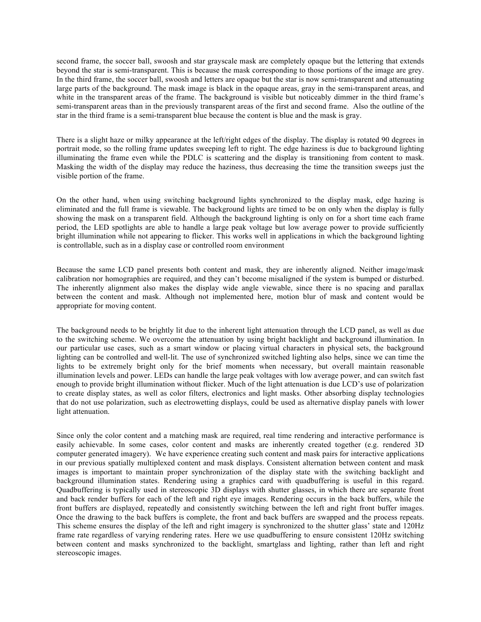second frame, the soccer ball, swoosh and star grayscale mask are completely opaque but the lettering that extends beyond the star is semi-transparent. This is because the mask corresponding to those portions of the image are grey. In the third frame, the soccer ball, swoosh and letters are opaque but the star is now semi-transparent and attenuating large parts of the background. The mask image is black in the opaque areas, gray in the semi-transparent areas, and white in the transparent areas of the frame. The background is visible but noticeably dimmer in the third frame's semi-transparent areas than in the previously transparent areas of the first and second frame. Also the outline of the star in the third frame is a semi-transparent blue because the content is blue and the mask is gray.

There is a slight haze or milky appearance at the left/right edges of the display. The display is rotated 90 degrees in portrait mode, so the rolling frame updates sweeping left to right. The edge haziness is due to background lighting illuminating the frame even while the PDLC is scattering and the display is transitioning from content to mask. Masking the width of the display may reduce the haziness, thus decreasing the time the transition sweeps just the visible portion of the frame.

On the other hand, when using switching background lights synchronized to the display mask, edge hazing is eliminated and the full frame is viewable. The background lights are timed to be on only when the display is fully showing the mask on a transparent field. Although the background lighting is only on for a short time each frame period, the LED spotlights are able to handle a large peak voltage but low average power to provide sufficiently bright illumination while not appearing to flicker. This works well in applications in which the background lighting is controllable, such as in a display case or controlled room environment

Because the same LCD panel presents both content and mask, they are inherently aligned. Neither image/mask calibration nor homographies are required, and they can't become misaligned if the system is bumped or disturbed. The inherently alignment also makes the display wide angle viewable, since there is no spacing and parallax between the content and mask. Although not implemented here, motion blur of mask and content would be appropriate for moving content.

The background needs to be brightly lit due to the inherent light attenuation through the LCD panel, as well as due to the switching scheme. We overcome the attenuation by using bright backlight and background illumination. In our particular use cases, such as a smart window or placing virtual characters in physical sets, the background lighting can be controlled and well-lit. The use of synchronized switched lighting also helps, since we can time the lights to be extremely bright only for the brief moments when necessary, but overall maintain reasonable illumination levels and power. LEDs can handle the large peak voltages with low average power, and can switch fast enough to provide bright illumination without flicker. Much of the light attenuation is due LCD's use of polarization to create display states, as well as color filters, electronics and light masks. Other absorbing display technologies that do not use polarization, such as electrowetting displays, could be used as alternative display panels with lower light attenuation.

Since only the color content and a matching mask are required, real time rendering and interactive performance is easily achievable. In some cases, color content and masks are inherently created together (e.g. rendered 3D computer generated imagery). We have experience creating such content and mask pairs for interactive applications in our previous spatially multiplexed content and mask displays. Consistent alternation between content and mask images is important to maintain proper synchronization of the display state with the switching backlight and background illumination states. Rendering using a graphics card with quadbuffering is useful in this regard. Quadbuffering is typically used in stereoscopic 3D displays with shutter glasses, in which there are separate front and back render buffers for each of the left and right eye images. Rendering occurs in the back buffers, while the front buffers are displayed, repeatedly and consistently switching between the left and right front buffer images. Once the drawing to the back buffers is complete, the front and back buffers are swapped and the process repeats. This scheme ensures the display of the left and right imagery is synchronized to the shutter glass' state and 120Hz frame rate regardless of varying rendering rates. Here we use quadbuffering to ensure consistent 120Hz switching between content and masks synchronized to the backlight, smartglass and lighting, rather than left and right stereoscopic images.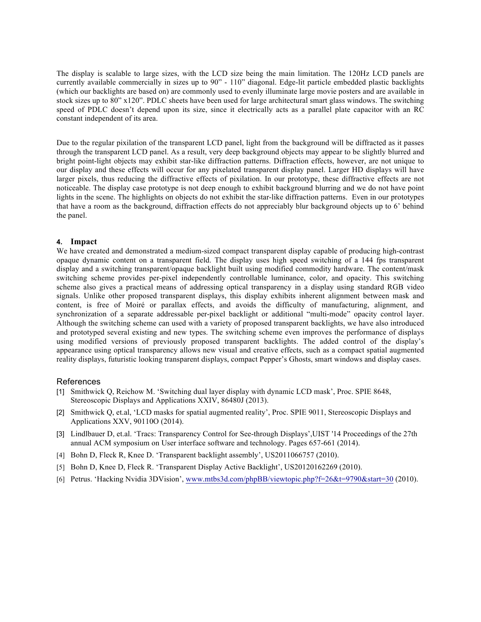The display is scalable to large sizes, with the LCD size being the main limitation. The 120Hz LCD panels are currently available commercially in sizes up to 90" - 110" diagonal. Edge-lit particle embedded plastic backlights (which our backlights are based on) are commonly used to evenly illuminate large movie posters and are available in stock sizes up to 80" x120". PDLC sheets have been used for large architectural smart glass windows. The switching speed of PDLC doesn't depend upon its size, since it electrically acts as a parallel plate capacitor with an RC constant independent of its area.

Due to the regular pixilation of the transparent LCD panel, light from the background will be diffracted as it passes through the transparent LCD panel. As a result, very deep background objects may appear to be slightly blurred and bright point-light objects may exhibit star-like diffraction patterns. Diffraction effects, however, are not unique to our display and these effects will occur for any pixelated transparent display panel. Larger HD displays will have larger pixels, thus reducing the diffractive effects of pixilation. In our prototype, these diffractive effects are not noticeable. The display case prototype is not deep enough to exhibit background blurring and we do not have point lights in the scene. The highlights on objects do not exhibit the star-like diffraction patterns. Even in our prototypes that have a room as the background, diffraction effects do not appreciably blur background objects up to 6' behind the panel.

#### **4. Impact**

We have created and demonstrated a medium-sized compact transparent display capable of producing high-contrast opaque dynamic content on a transparent field. The display uses high speed switching of a 144 fps transparent display and a switching transparent/opaque backlight built using modified commodity hardware. The content/mask switching scheme provides per-pixel independently controllable luminance, color, and opacity. This switching scheme also gives a practical means of addressing optical transparency in a display using standard RGB video signals. Unlike other proposed transparent displays, this display exhibits inherent alignment between mask and content, is free of Moiré or parallax effects, and avoids the difficulty of manufacturing, alignment, and synchronization of a separate addressable per-pixel backlight or additional "multi-mode" opacity control layer. Although the switching scheme can used with a variety of proposed transparent backlights, we have also introduced and prototyped several existing and new types. The switching scheme even improves the performance of displays using modified versions of previously proposed transparent backlights. The added control of the display's appearance using optical transparency allows new visual and creative effects, such as a compact spatial augmented reality displays, futuristic looking transparent displays, compact Pepper's Ghosts, smart windows and display cases.

#### References

- [1] Smithwick Q, Reichow M. 'Switching dual layer display with dynamic LCD mask', Proc. SPIE 8648, Stereoscopic Displays and Applications XXIV, 86480J (2013).
- [2] Smithwick Q, et.al, 'LCD masks for spatial augmented reality', Proc. SPIE 9011, Stereoscopic Displays and Applications XXV, 90110O (2014).
- [3] Lindlbauer D, et.al. 'Tracs: Transparency Control for See-through Displays',UIST '14 Proceedings of the 27th annual ACM symposium on User interface software and technology. Pages 657-661 (2014).
- [4] Bohn D, Fleck R, Knee D. 'Transparent backlight assembly', US2011066757 (2010).
- [5] Bohn D, Knee D, Fleck R. 'Transparent Display Active Backlight', US20120162269 (2010).
- [6] Petrus. 'Hacking Nvidia 3DVision', www.mtbs3d.com/phpBB/viewtopic.php?f=26&t=9790&start=30 (2010).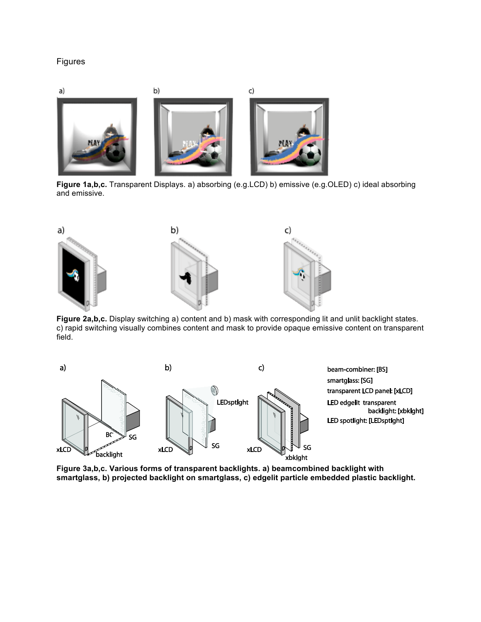## Figures



**Figure 1a,b,c.** Transparent Displays. a) absorbing (e.g.LCD) b) emissive (e.g.OLED) c) ideal absorbing and emissive.



**Figure 2a,b,c.** Display switching a) content and b) mask with corresponding lit and unlit backlight states. c) rapid switching visually combines content and mask to provide opaque emissive content on transparent field.



**Figure 3a,b,c. Various forms of transparent backlights. a) beamcombined backlight with smartglass, b) projected backlight on smartglass, c) edgelit particle embedded plastic backlight.**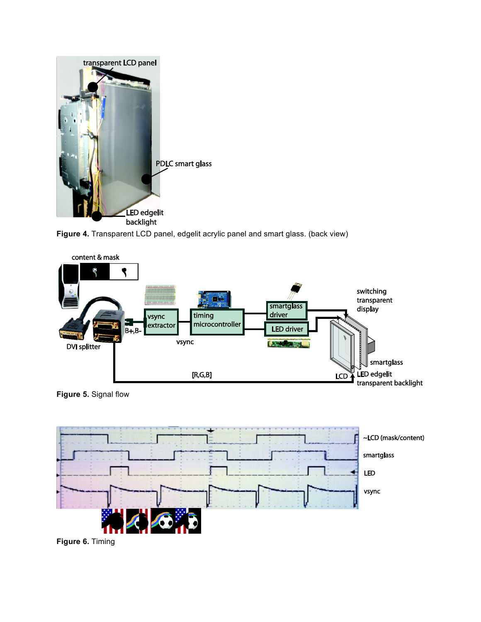

**Figure 4.** Transparent LCD panel, edgelit acrylic panel and smart glass. (back view)